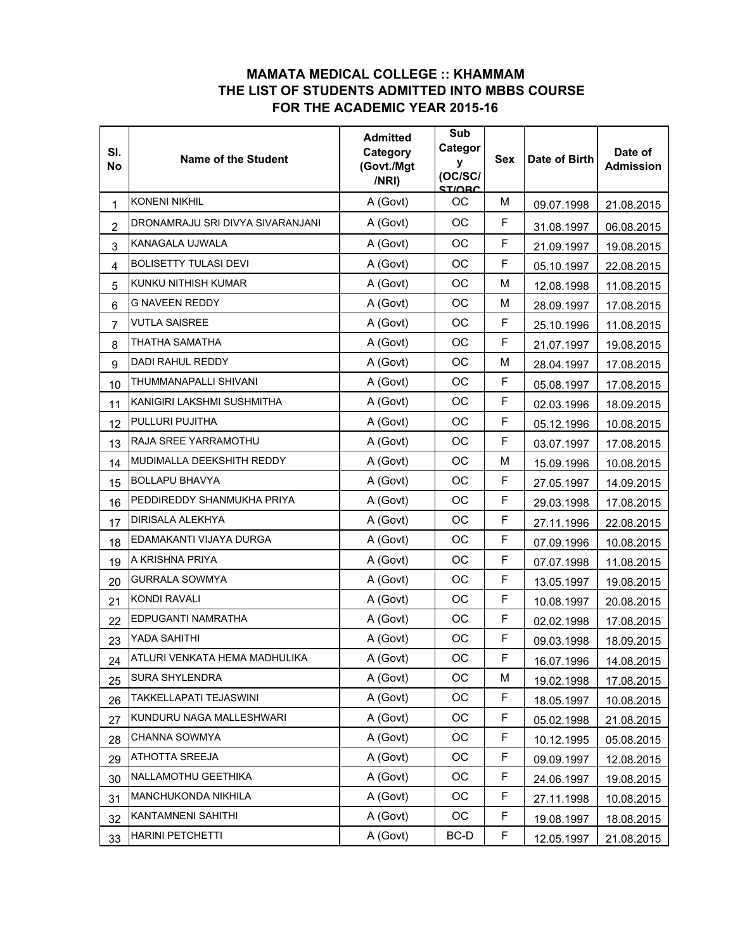## **MAMATA MEDICAL COLLEGE :: KHAMMAM THE LIST OF STUDENTS ADMITTED INTO MBBS COURSE FOR THE ACADEMIC YEAR 2015-16**

| SI.<br><b>No</b>        | <b>Name of the Student</b>       | <b>Admitted</b><br>Category<br>(Govt./Mgt<br>/NRI) | Sub<br>Categor<br>y<br>(OC/SC/<br><b>STIORC</b> | <b>Sex</b> | Date of Birth | Date of<br><b>Admission</b> |
|-------------------------|----------------------------------|----------------------------------------------------|-------------------------------------------------|------------|---------------|-----------------------------|
| 1                       | <b>KONENI NIKHIL</b>             | A (Govt)                                           | ОC                                              | M          | 09.07.1998    | 21.08.2015                  |
| $\overline{2}$          | DRONAMRAJU SRI DIVYA SIVARANJANI | A (Govt)                                           | OC                                              | F          | 31.08.1997    | 06.08.2015                  |
| 3                       | KANAGALA UJWALA                  | A (Govt)                                           | <b>OC</b>                                       | F          | 21.09.1997    | 19.08.2015                  |
| $\overline{\mathbf{4}}$ | <b>BOLISETTY TULASI DEVI</b>     | A (Govt)                                           | OC                                              | F          | 05.10.1997    | 22.08.2015                  |
| 5                       | KUNKU NITHISH KUMAR              | A (Govt)                                           | ОC                                              | M          | 12.08.1998    | 11.08.2015                  |
| 6                       | G NAVEEN REDDY                   | A (Govt)                                           | OC                                              | M          | 28.09.1997    | 17.08.2015                  |
| $\overline{7}$          | <b>VUTLA SAISREE</b>             | A (Govt)                                           | <b>OC</b>                                       | F          | 25.10.1996    | 11.08.2015                  |
| 8                       | THATHA SAMATHA                   | A (Govt)                                           | ОC                                              | F          | 21.07.1997    | 19.08.2015                  |
| 9                       | <b>DADI RAHUL REDDY</b>          | A (Govt)                                           | OC                                              | M          | 28.04.1997    | 17.08.2015                  |
| 10                      | THUMMANAPALLI SHIVANI            | A (Govt)                                           | OC                                              | F          | 05.08.1997    | 17.08.2015                  |
| 11                      | KANIGIRI LAKSHMI SUSHMITHA       | A (Govt)                                           | OC                                              | F          | 02.03.1996    | 18.09.2015                  |
| 12                      | PULLURI PUJITHA                  | A (Govt)                                           | ОC                                              | F          | 05.12.1996    | 10.08.2015                  |
| 13                      | RAJA SREE YARRAMOTHU             | A (Govt)                                           | ОC                                              | F          | 03.07.1997    | 17.08.2015                  |
| 14                      | MUDIMALLA DEEKSHITH REDDY        | A (Govt)                                           | OC                                              | M          | 15.09.1996    | 10.08.2015                  |
| 15                      | <b>BOLLAPU BHAVYA</b>            | A (Govt)                                           | OC                                              | F          | 27.05.1997    | 14.09.2015                  |
| 16                      | PEDDIREDDY SHANMUKHA PRIYA       | A (Govt)                                           | ОC                                              | F          | 29.03.1998    | 17.08.2015                  |
| 17                      | DIRISALA ALEKHYA                 | A (Govt)                                           | OC                                              | F          | 27.11.1996    | 22.08.2015                  |
| 18                      | EDAMAKANTI VIJAYA DURGA          | A (Govt)                                           | ОC                                              | F          | 07.09.1996    | 10.08.2015                  |
| 19                      | A KRISHNA PRIYA                  | A (Govt)                                           | OC                                              | F          | 07.07.1998    | 11.08.2015                  |
| 20                      | GURRALA SOWMYA                   | A (Govt)                                           | ОC                                              | F          | 13.05.1997    | 19.08.2015                  |
| 21                      | KONDI RAVALI                     | A (Govt)                                           | ОC                                              | F          | 10.08.1997    | 20.08.2015                  |
| 22                      | EDPUGANTI NAMRATHA               | A (Govt)                                           | ОC                                              | F          | 02.02.1998    | 17.08.2015                  |
| 23                      | YADA SAHITHI                     | A (Govt)                                           | OC                                              | F          | 09.03.1998    | 18.09.2015                  |
| 24                      | ATLURI VENKATA HEMA MADHULIKA    | A (Govt)                                           | OC                                              | F          | 16.07.1996    | 14.08.2015                  |
| 25                      | <b>SURA SHYLENDRA</b>            | A (Govt)                                           | ОC                                              | M          | 19.02.1998    | 17.08.2015                  |
| 26                      | TAKKELLAPATI TEJASWINI           | A (Govt)                                           | ОC                                              | F          | 18.05.1997    | 10.08.2015                  |
| 27                      | KUNDURU NAGA MALLESHWARI         | A (Govt)                                           | OC                                              | F          | 05.02.1998    | 21.08.2015                  |
| 28                      | <b>CHANNA SOWMYA</b>             | A (Govt)                                           | ОC                                              | F          | 10.12.1995    | 05.08.2015                  |
| 29                      | <b>ATHOTTA SREEJA</b>            | A (Govt)                                           | OС                                              | F          | 09.09.1997    | 12.08.2015                  |
| 30                      | NALLAMOTHU GEETHIKA              | A (Govt)                                           | OC                                              | F          | 24.06.1997    | 19.08.2015                  |
| 31                      | MANCHUKONDA NIKHILA              | A (Govt)                                           | ОC                                              | F          | 27.11.1998    | 10.08.2015                  |
| 32                      | KANTAMNENI SAHITHI               | A (Govt)                                           | OC                                              | F          | 19.08.1997    | 18.08.2015                  |
| 33                      | <b>HARINI PETCHETTI</b>          | A (Govt)                                           | BC-D                                            | F          | 12.05.1997    | 21.08.2015                  |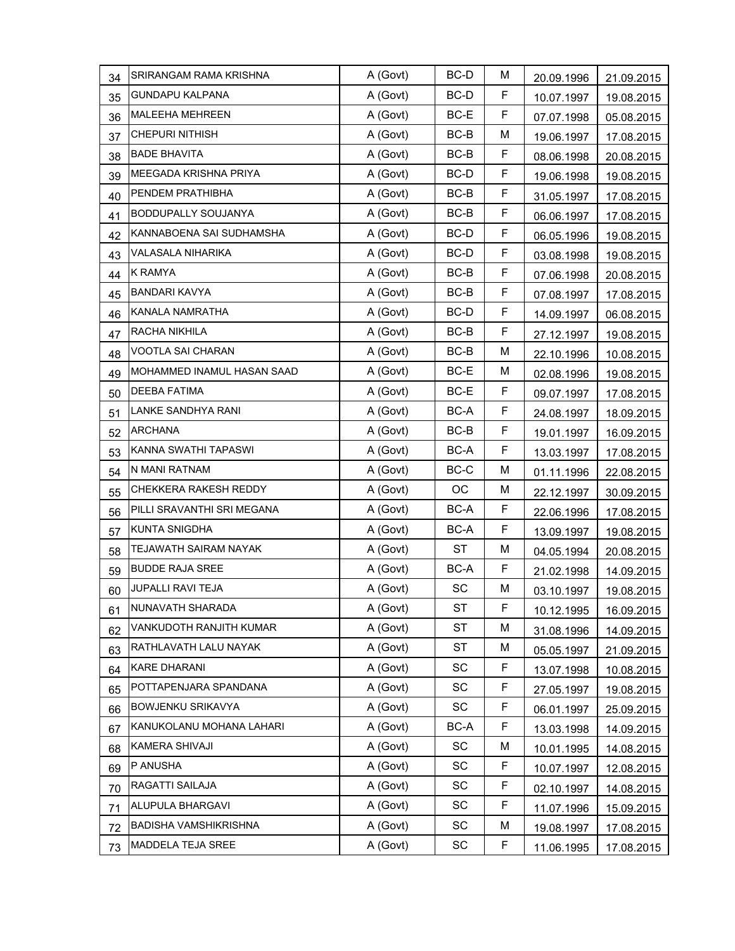| 34 | SRIRANGAM RAMA KRISHNA     | A (Govt) | BC-D      | M  | 20.09.1996 | 21.09.2015 |
|----|----------------------------|----------|-----------|----|------------|------------|
| 35 | <b>GUNDAPU KALPANA</b>     | A (Govt) | BC-D      | F  | 10.07.1997 | 19.08.2015 |
| 36 | <b>MALEEHA MEHREEN</b>     | A (Govt) | BC-E      | F  | 07.07.1998 | 05.08.2015 |
| 37 | <b>CHEPURI NITHISH</b>     | A (Govt) | BC-B      | M  | 19.06.1997 | 17.08.2015 |
| 38 | <b>BADE BHAVITA</b>        | A (Govt) | BC-B      | F  | 08.06.1998 | 20.08.2015 |
| 39 | MEEGADA KRISHNA PRIYA      | A (Govt) | BC-D      | F  | 19.06.1998 | 19.08.2015 |
| 40 | PENDEM PRATHIBHA           | A (Govt) | $BC-B$    | F  | 31.05.1997 | 17.08.2015 |
| 41 | <b>BODDUPALLY SOUJANYA</b> | A (Govt) | BC-B      | F  | 06.06.1997 | 17.08.2015 |
| 42 | KANNABOENA SAI SUDHAMSHA   | A (Govt) | BC-D      | F  | 06.05.1996 | 19.08.2015 |
| 43 | VALASALA NIHARIKA          | A (Govt) | BC-D      | F  | 03.08.1998 | 19.08.2015 |
| 44 | <b>K RAMYA</b>             | A (Govt) | BC-B      | F  | 07.06.1998 | 20.08.2015 |
| 45 | <b>BANDARI KAVYA</b>       | A (Govt) | BC-B      | F  | 07.08.1997 | 17.08.2015 |
| 46 | KANALA NAMRATHA            | A (Govt) | BC-D      | F  | 14.09.1997 | 06.08.2015 |
| 47 | RACHA NIKHILA              | A (Govt) | BC-B      | F  | 27.12.1997 | 19.08.2015 |
| 48 | VOOTLA SAI CHARAN          | A (Govt) | BC-B      | M  | 22.10.1996 | 10.08.2015 |
| 49 | MOHAMMED INAMUL HASAN SAAD | A (Govt) | BC-E      | M  | 02.08.1996 | 19.08.2015 |
| 50 | <b>DEEBA FATIMA</b>        | A (Govt) | BC-E      | F  | 09.07.1997 | 17.08.2015 |
| 51 | LANKE SANDHYA RANI         | A (Govt) | BC-A      | F  | 24.08.1997 | 18.09.2015 |
| 52 | <b>ARCHANA</b>             | A (Govt) | BC-B      | F  | 19.01.1997 | 16.09.2015 |
| 53 | KANNA SWATHI TAPASWI       | A (Govt) | BC-A      | F  | 13.03.1997 | 17.08.2015 |
| 54 | N MANI RATNAM              | A (Govt) | BC-C      | M  | 01.11.1996 | 22.08.2015 |
| 55 | CHEKKERA RAKESH REDDY      | A (Govt) | OC        | M  | 22.12.1997 | 30.09.2015 |
| 56 | PILLI SRAVANTHI SRI MEGANA | A (Govt) | BC-A      | F  | 22.06.1996 | 17.08.2015 |
| 57 | <b>KUNTA SNIGDHA</b>       | A (Govt) | BC-A      | F  | 13.09.1997 | 19.08.2015 |
| 58 | TEJAWATH SAIRAM NAYAK      | A (Govt) | ST        | M  | 04.05.1994 | 20.08.2015 |
| 59 | <b>BUDDE RAJA SREE</b>     | A (Govt) | BC-A      | F  | 21.02.1998 | 14.09.2015 |
| 60 | <b>JUPALLI RAVI TEJA</b>   | A (Govt) | SC        | M  | 03.10.1997 | 19.08.2015 |
| 61 | NUNAVATH SHARADA           | A (Govt) | <b>ST</b> | F. | 10.12.1995 | 16.09.2015 |
| 62 | VANKUDOTH RANJITH KUMAR    | A (Govt) | ST        | M  | 31.08.1996 | 14.09.2015 |
| 63 | RATHLAVATH LALU NAYAK      | A (Govt) | <b>ST</b> | M  | 05.05.1997 | 21.09.2015 |
| 64 | <b>KARE DHARANI</b>        | A (Govt) | SC        | F  | 13.07.1998 | 10.08.2015 |
| 65 | POTTAPENJARA SPANDANA      | A (Govt) | SC        | F  | 27.05.1997 | 19.08.2015 |
| 66 | BOWJENKU SRIKAVYA          | A (Govt) | SC        | F  | 06.01.1997 | 25.09.2015 |
| 67 | KANUKOLANU MOHANA LAHARI   | A (Govt) | BC-A      | F  | 13.03.1998 | 14.09.2015 |
| 68 | <b>KAMERA SHIVAJI</b>      | A (Govt) | SC        | M  | 10.01.1995 | 14.08.2015 |
| 69 | P ANUSHA                   | A (Govt) | SC        | F  | 10.07.1997 | 12.08.2015 |
| 70 | RAGATTI SAILAJA            | A (Govt) | SC        | F  | 02.10.1997 | 14.08.2015 |
| 71 | ALUPULA BHARGAVI           | A (Govt) | SC        | F  | 11.07.1996 | 15.09.2015 |
| 72 | BADISHA VAMSHIKRISHNA      | A (Govt) | SC        | M  | 19.08.1997 | 17.08.2015 |
| 73 | MADDELA TEJA SREE          | A (Govt) | SC        | F  | 11.06.1995 | 17.08.2015 |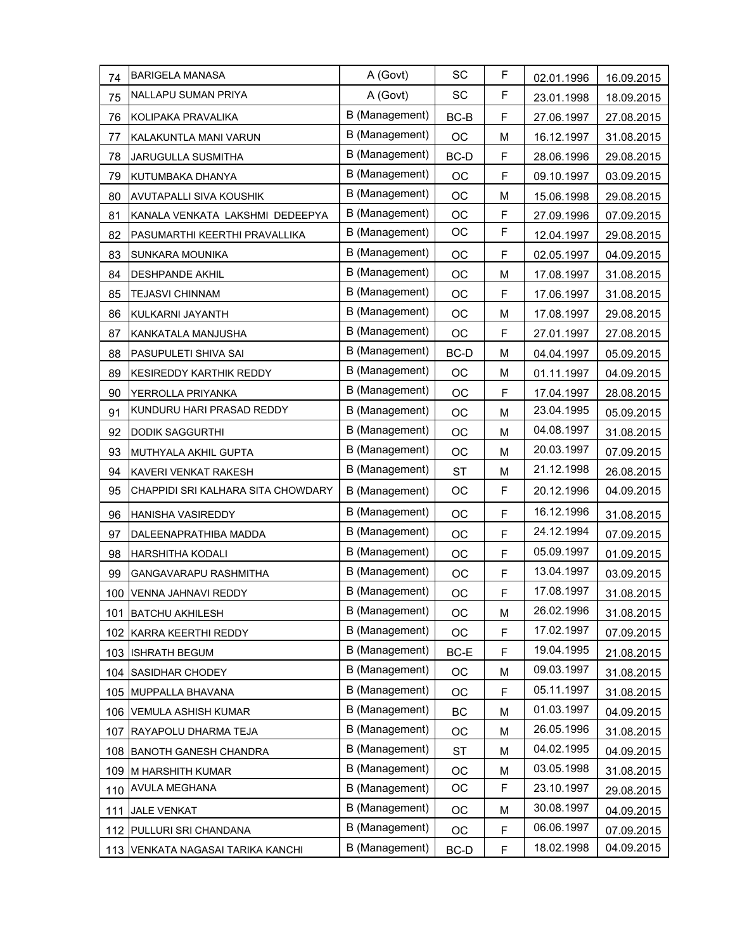| 74  | <b>BARIGELA MANASA</b>             | A (Govt)       | SC        | F | 02.01.1996 | 16.09.2015 |
|-----|------------------------------------|----------------|-----------|---|------------|------------|
| 75  | NALLAPU SUMAN PRIYA                | A (Govt)       | SC        | F | 23.01.1998 | 18.09.2015 |
| 76  | KOLIPAKA PRAVALIKA                 | B (Management) | BC-B      | F | 27.06.1997 | 27.08.2015 |
| 77  | KALAKUNTLA MANI VARUN              | B (Management) | OC        | M | 16.12.1997 | 31.08.2015 |
| 78  | JARUGULLA SUSMITHA                 | B (Management) | BC-D      | F | 28.06.1996 | 29.08.2015 |
| 79  | KUTUMBAKA DHANYA                   | B (Management) | OC        | F | 09.10.1997 | 03.09.2015 |
| 80  | AVUTAPALLI SIVA KOUSHIK            | B (Management) | OC        | M | 15.06.1998 | 29.08.2015 |
| 81  | KANALA VENKATA LAKSHMI DEDEEPYA    | B (Management) | OC        | F | 27.09.1996 | 07.09.2015 |
| 82  | PASUMARTHI KEERTHI PRAVALLIKA      | B (Management) | OC        | F | 12.04.1997 | 29.08.2015 |
| 83  | SUNKARA MOUNIKA                    | B (Management) | OC        | F | 02.05.1997 | 04.09.2015 |
| 84  | DESHPANDE AKHIL                    | B (Management) | OC        | M | 17.08.1997 | 31.08.2015 |
| 85  | <b>TEJASVI CHINNAM</b>             | B (Management) | OC        | F | 17.06.1997 | 31.08.2015 |
| 86  | KULKARNI JAYANTH                   | B (Management) | OC        | M | 17.08.1997 | 29.08.2015 |
| 87  | KANKATALA MANJUSHA                 | B (Management) | OC        | F | 27.01.1997 | 27.08.2015 |
| 88  | PASUPULETI SHIVA SAI               | B (Management) | BC-D      | M | 04.04.1997 | 05.09.2015 |
| 89  | KESIREDDY KARTHIK REDDY            | B (Management) | OC        | M | 01.11.1997 | 04.09.2015 |
| 90  | YERROLLA PRIYANKA                  | B (Management) | OC        | F | 17.04.1997 | 28.08.2015 |
| 91  | KUNDURU HARI PRASAD REDDY          | B (Management) | OC        | M | 23.04.1995 | 05.09.2015 |
| 92  | <b>DODIK SAGGURTHI</b>             | B (Management) | OC        | M | 04.08.1997 | 31.08.2015 |
| 93  | MUTHYALA AKHIL GUPTA               | B (Management) | OC        | M | 20.03.1997 | 07.09.2015 |
| 94  | KAVERI VENKAT RAKESH               | B (Management) | <b>ST</b> | M | 21.12.1998 | 26.08.2015 |
| 95  | CHAPPIDI SRI KALHARA SITA CHOWDARY | B (Management) | OC        | F | 20.12.1996 | 04.09.2015 |
| 96  | HANISHA VASIREDDY                  | B (Management) | OC        | F | 16.12.1996 | 31.08.2015 |
| 97  | DALEENAPRATHIBA MADDA              | B (Management) | OC        | F | 24.12.1994 | 07.09.2015 |
| 98  | HARSHITHA KODALI                   | B (Management) | OC        | F | 05.09.1997 | 01.09.2015 |
| 99  | GANGAVARAPU RASHMITHA              | B (Management) | OC        | F | 13.04.1997 | 03.09.2015 |
| 100 | VENNA JAHNAVI REDDY                | B (Management) | OC        | F | 17.08.1997 | 31.08.2015 |
| 101 | <b>BATCHU AKHILESH</b>             | B (Management) | OC        | M | 26.02.1996 | 31.08.2015 |
|     | 102 KARRA KEERTHI REDDY            | B (Management) | OC        | F | 17.02.1997 | 07.09.2015 |
|     | 103 ISHRATH BEGUM                  | B (Management) | BC-E      | F | 19.04.1995 | 21.08.2015 |
|     | 104 SASIDHAR CHODEY                | B (Management) | OC        | M | 09.03.1997 | 31.08.2015 |
|     | 105 MUPPALLA BHAVANA               | B (Management) | OС        | F | 05.11.1997 | 31.08.2015 |
|     | 106 VEMULA ASHISH KUMAR            | B (Management) | BC        | M | 01.03.1997 | 04.09.2015 |
|     | 107 RAYAPOLU DHARMA TEJA           | B (Management) | OC        | M | 26.05.1996 | 31.08.2015 |
|     | 108 BANOTH GANESH CHANDRA          | B (Management) | <b>ST</b> | M | 04.02.1995 | 04.09.2015 |
|     | 109 M HARSHITH KUMAR               | B (Management) | OC        | M | 03.05.1998 | 31.08.2015 |
|     | 110 AVULA MEGHANA                  | B (Management) | ОC        | F | 23.10.1997 | 29.08.2015 |
| 111 | <b>JALE VENKAT</b>                 | B (Management) | OC        | M | 30.08.1997 | 04.09.2015 |
|     | 112 PULLURI SRI CHANDANA           | B (Management) | OC        | F | 06.06.1997 | 07.09.2015 |
|     | 113 VENKATA NAGASAI TARIKA KANCHI  | B (Management) | BC-D      | F | 18.02.1998 | 04.09.2015 |